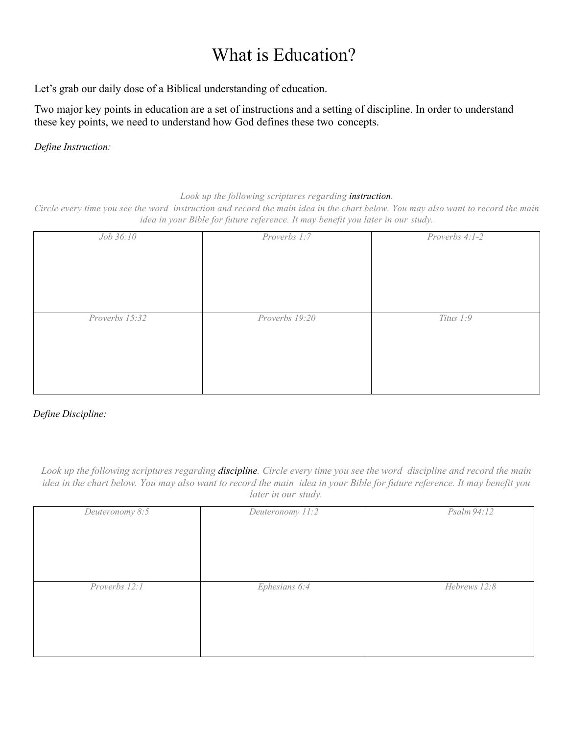## What is Education?

Let's grab our daily dose of a Biblical understanding of education.

Two major key points in education are a set of instructions and a setting of discipline. In order to understand these key points, we need to understand how God defines these two concepts.

*Define Instruction:*

*Look up the following scriptures regarding instruction.* 

*Circle every time you see the word instruction and record the main idea in the chart below. You may also want to record the main idea in your Bible for future reference. It may benefit you later in our study.*

| Job 36:10      | Proverbs 1:7   | Proverbs 4:1-2 |
|----------------|----------------|----------------|
|                |                |                |
|                |                |                |
|                |                |                |
|                |                |                |
|                |                |                |
| Proverbs 15:32 | Proverbs 19:20 | Titus 1:9      |
|                |                |                |
|                |                |                |
|                |                |                |
|                |                |                |
|                |                |                |

## *Define Discipline:*

*Look up the following scriptures regarding discipline. Circle every time you see the word discipline and record the main idea in the chart below. You may also want to record the main idea in your Bible for future reference. It may benefit you later in our study.*

| Deuteronomy 8:5 | Deuteronomy 11:2 | Psalm 94:12  |
|-----------------|------------------|--------------|
|                 |                  |              |
|                 |                  |              |
|                 |                  |              |
|                 |                  |              |
|                 |                  |              |
|                 |                  |              |
| Proverbs 12:1   | Ephesians 6:4    | Hebrews 12:8 |
|                 |                  |              |
|                 |                  |              |
|                 |                  |              |
|                 |                  |              |
|                 |                  |              |
|                 |                  |              |